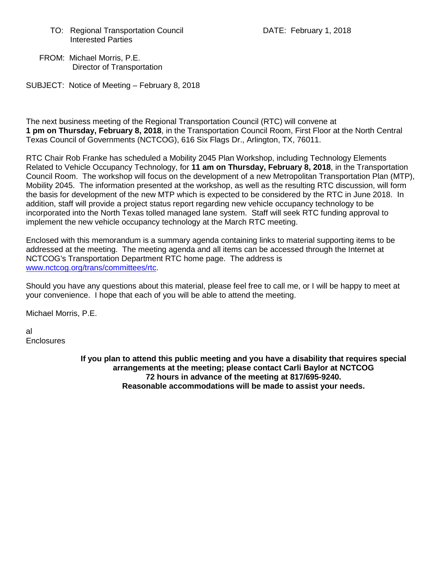TO: Regional Transportation Council **DATE: February 1, 2018** Interested Parties

 FROM: Michael Morris, P.E. Director of Transportation

SUBJECT: Notice of Meeting – February 8, 2018

The next business meeting of the Regional Transportation Council (RTC) will convene at **1 pm on Thursday, February 8, 2018**, in the Transportation Council Room, First Floor at the North Central Texas Council of Governments (NCTCOG), 616 Six Flags Dr., Arlington, TX, 76011.

RTC Chair Rob Franke has scheduled a Mobility 2045 Plan Workshop, including Technology Elements Related to Vehicle Occupancy Technology, for **11 am on Thursday, February 8, 2018**, in the Transportation Council Room. The workshop will focus on the development of a new Metropolitan Transportation Plan (MTP), Mobility 2045. The information presented at the workshop, as well as the resulting RTC discussion, will form the basis for development of the new MTP which is expected to be considered by the RTC in June 2018. In addition, staff will provide a project status report regarding new vehicle occupancy technology to be incorporated into the North Texas tolled managed lane system. Staff will seek RTC funding approval to implement the new vehicle occupancy technology at the March RTC meeting.

Enclosed with this memorandum is a summary agenda containing links to material supporting items to be addressed at the meeting. The meeting agenda and all items can be accessed through the Internet at NCTCOG's Transportation Department RTC home page. The address is [www.nctcog.org/trans/committees/rtc.](http://www.nctcog.org/trans/committees/rtc)

Should you have any questions about this material, please feel free to call me, or I will be happy to meet at your convenience. I hope that each of you will be able to attend the meeting.

Michael Morris, P.E.

al **Enclosures** 

> **If you plan to attend this public meeting and you have a disability that requires special arrangements at the meeting; please contact Carli Baylor at NCTCOG 72 hours in advance of the meeting at 817/695-9240. Reasonable accommodations will be made to assist your needs.**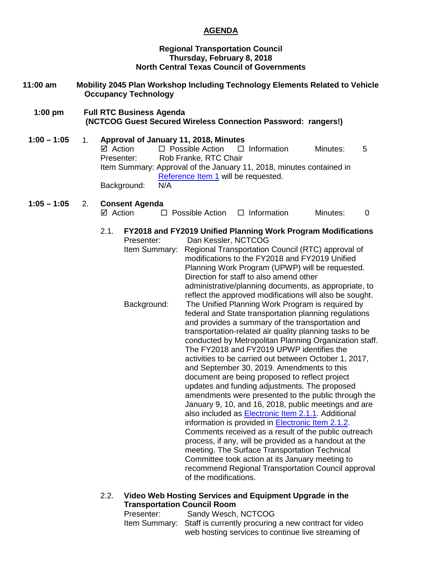#### **AGENDA**

#### **Regional Transportation Council Thursday, February 8, 2018 North Central Texas Council of Governments**

- **11:00 am Mobility 2045 Plan Workshop Including Technology Elements Related to Vehicle Occupancy Technology** 
	- **1:00 pm Full RTC Business Agenda (NCTCOG Guest Secured Wireless Connection Password: rangers!)**
	- **1:00 – 1:05** 1. **Approval of January 11, 2018, Minutes**  $\boxtimes$  Action  $\Box$  Possible Action  $\Box$  Information Minutes: 5 Presenter: Rob Franke, RTC Chair Item Summary: Approval of the January 11, 2018, minutes contained in [Reference Item 1](http://www.nctcog.org/trans/committees/rtc/2018/02Feb/Ref.Itm_1.rtc020818.pdf) will be requested. Background: N/A

#### **1:05 – 1:05** 2. **Consent Agenda**

- $\boxtimes$  Action  $\square$  Possible Action  $\square$  Information Minutes: 0
- 2.1. **FY2018 and FY2019 Unified Planning Work Program Modifications**
	- Presenter: Dan Kessler, NCTCOG
	- Item Summary: Regional Transportation Council (RTC) approval of modifications to the FY2018 and FY2019 Unified Planning Work Program (UPWP) will be requested. Direction for staff to also amend other administrative/planning documents, as appropriate, to reflect the approved modifications will also be sought. Background: The Unified Planning Work Program is required by federal and State transportation planning regulations and provides a summary of the transportation and transportation-related air quality planning tasks to be conducted by Metropolitan Planning Organization staff. The FY2018 and FY2019 UPWP identifies the activities to be carried out between October 1, 2017, and September 30, 2019. Amendments to this document are being proposed to reflect project updates and funding adjustments. The proposed amendments were presented to the public through the January 9, 10, and 16, 2018, public meetings and are also included as [Electronic Item 2.1.1.](http://www.nctcog.org/trans/committees/rtc/2018/02Feb/Ref.Itm_2.1.1.rtc020818.pdf) Additional information is provided in [Electronic Item 2.1.2.](http://www.nctcog.org/trans/committees/rtc/2018/02Feb/Ref.Itm_2.1.2.rtc020818.pdf) Comments received as a result of the public outreach process, if any, will be provided as a handout at the meeting. The Surface Transportation Technical Committee took action at its January meeting to recommend Regional Transportation Council approval of the modifications.

#### 2.2. **Video Web Hosting Services and Equipment Upgrade in the Transportation Council Room**

| Presenter: | Sandy Wesch, NCTCOG                                                 |
|------------|---------------------------------------------------------------------|
|            | Item Summary: Staff is currently procuring a new contract for video |
|            | web hosting services to continue live streaming of                  |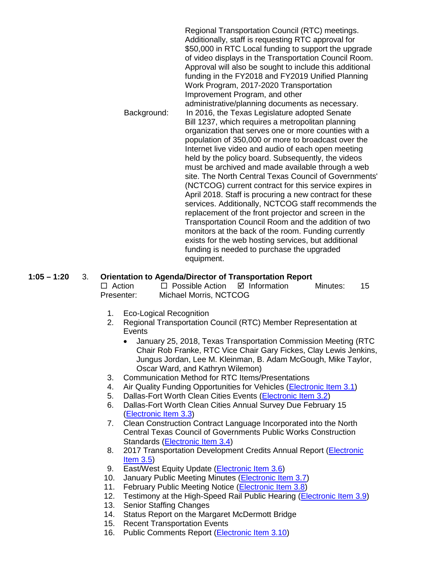|             | Regional Transportation Council (RTC) meetings.<br>Additionally, staff is requesting RTC approval for<br>\$50,000 in RTC Local funding to support the upgrade<br>of video displays in the Transportation Council Room.<br>Approval will also be sought to include this additional<br>funding in the FY2018 and FY2019 Unified Planning<br>Work Program, 2017-2020 Transportation<br>Improvement Program, and other |
|-------------|--------------------------------------------------------------------------------------------------------------------------------------------------------------------------------------------------------------------------------------------------------------------------------------------------------------------------------------------------------------------------------------------------------------------|
|             | administrative/planning documents as necessary.                                                                                                                                                                                                                                                                                                                                                                    |
| Background: | In 2016, the Texas Legislature adopted Senate                                                                                                                                                                                                                                                                                                                                                                      |
|             | Bill 1237, which requires a metropolitan planning                                                                                                                                                                                                                                                                                                                                                                  |
|             | organization that serves one or more counties with a                                                                                                                                                                                                                                                                                                                                                               |
|             | population of 350,000 or more to broadcast over the                                                                                                                                                                                                                                                                                                                                                                |
|             | Internet live video and audio of each open meeting                                                                                                                                                                                                                                                                                                                                                                 |
|             | held by the policy board. Subsequently, the videos                                                                                                                                                                                                                                                                                                                                                                 |
|             | must be archived and made available through a web<br>site. The North Central Texas Council of Governments'                                                                                                                                                                                                                                                                                                         |
|             | (NCTCOG) current contract for this service expires in                                                                                                                                                                                                                                                                                                                                                              |
|             | April 2018. Staff is procuring a new contract for these                                                                                                                                                                                                                                                                                                                                                            |
|             | services. Additionally, NCTCOG staff recommends the                                                                                                                                                                                                                                                                                                                                                                |
|             | replacement of the front projector and screen in the                                                                                                                                                                                                                                                                                                                                                               |
|             | Transportation Council Room and the addition of two                                                                                                                                                                                                                                                                                                                                                                |
|             | monitors at the back of the room. Funding currently                                                                                                                                                                                                                                                                                                                                                                |
|             | exists for the web hosting services, but additional                                                                                                                                                                                                                                                                                                                                                                |
|             | funding is needed to purchase the upgraded<br>equipment.                                                                                                                                                                                                                                                                                                                                                           |

#### **1:05 – 1:20** 3. **Orientation to Agenda/Director of Transportation Report**

 $\Box$  Action  $\Box$  Possible Action  $\Box$  Information Minutes: 15 Presenter: Michael Morris, NCTCOG

- 1. Eco-Logical Recognition
- 2. Regional Transportation Council (RTC) Member Representation at **Events** 
	- January 25, 2018, Texas Transportation Commission Meeting (RTC Chair Rob Franke, RTC Vice Chair Gary Fickes, Clay Lewis Jenkins, Jungus Jordan, Lee M. Kleinman, B. Adam McGough, Mike Taylor, Oscar Ward, and Kathryn Wilemon)
- 3. Communication Method for RTC Items/Presentations
- 4. Air Quality Funding Opportunities for Vehicles [\(Electronic Item 3.1\)](http://www.nctcog.org/trans/air/vehicles/investments/funding/VehicleFundingOpportunities.asp)
- 5. Dallas-Fort Worth Clean Cities Events [\(Electronic Item 3.2\)](http://www.nctcog.org/trans/committees/rtc/2018/02Feb/Ref.Itm_3.2.rtc020818.pdf)
- 6. Dallas-Fort Worth Clean Cities Annual Survey Due February 15 [\(Electronic Item 3.3\)](https://www.dfwcleancities.org/annualreport)
- 7. Clean Construction Contract Language Incorporated into the North Central Texas Council of Governments Public Works Construction Standards [\(Electronic Item 3.4\)](http://www.nctcog.org/trans/committees/rtc/2018/02Feb/Ref.Itm_3.4.rtc020818.pdf)
- 8. 2017 Transportation Development Credits Annual Report (Electronic [Item 3.5\)](http://www.nctcog.org/trans/committees/rtc/2018/02Feb/Ref.Itm_3.5.rtc020818.pdf)
- 9. East/West Equity Update [\(Electronic Item 3.6\)](http://www.nctcog.org/trans/committees/rtc/2018/02Feb/Ref.Itm_3.6.rtc020818.pdf)
- 10. January Public Meeting Minutes [\(Electronic Item 3.7\)](http://www.nctcog.org/trans/committees/rtc/2018/02Feb/Ref.Itm_3.7.rtc020818.pdf)
- 11. February Public Meeting Notice [\(Electronic Item 3.8\)](http://www.nctcog.org/trans/committees/rtc/2018/02Feb/Ref.Itm_3.8.rtc020818.pdf)
- 12. Testimony at the High-Speed Rail Public Hearing [\(Electronic Item 3.9\)](http://www.nctcog.org/trans/committees/rtc/2018/02Feb/Ref.Itm_3.9.rtc020818.pdf)
- 13. Senior Staffing Changes
- 14. Status Report on the Margaret McDermott Bridge
- 15. Recent Transportation Events
- 16. Public Comments Report [\(Electronic Item 3.10\)](http://www.nctcog.org/trans/committees/rtc/2018/02Feb/Ref.Itm_3.10.rtc020818.pdf)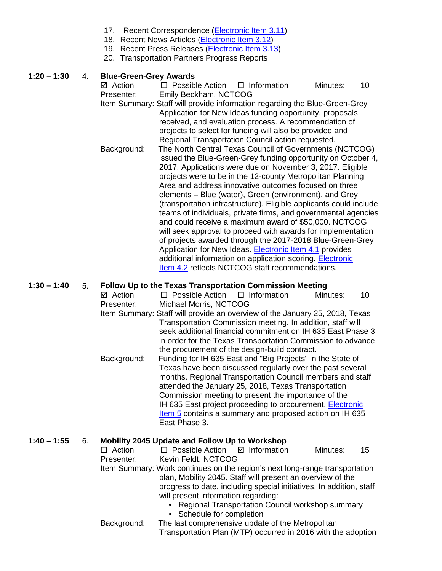- 17. Recent Correspondence [\(Electronic Item 3.11\)](http://www.nctcog.org/trans/committees/rtc/2018/02Feb/Ref.Itm_3.11.rtc020818.pdf)
- 18. Recent News Articles [\(Electronic Item 3.12\)](http://www.nctcog.org/trans/committees/rtc/2018/02Feb/Ref.Itm_3.12.rtc020818.pdf)
- 19. Recent Press Releases [\(Electronic Item 3.13\)](http://www.nctcog.org/trans/committees/rtc/2018/02Feb/Ref.Itm_3.13.rtc020818.pdf)
- 20. Transportation Partners Progress Reports

#### **1:20 – 1:30** 4. **Blue-Green-Grey Awards**

 $\boxtimes$  Action  $\Box$  Possible Action  $\Box$  Information Minutes: 10 Presenter: Emily Beckham, NCTCOG Item Summary: Staff will provide information regarding the Blue-Green-Grey Application for New Ideas funding opportunity, proposals received, and evaluation process. A recommendation of projects to select for funding will also be provided and Regional Transportation Council action requested. Background: The North Central Texas Council of Governments (NCTCOG) issued the Blue-Green-Grey funding opportunity on October 4, 2017. Applications were due on November 3, 2017. Eligible projects were to be in the 12-county Metropolitan Planning Area and address innovative outcomes focused on three elements – Blue (water), Green (environment), and Grey (transportation infrastructure). Eligible applicants could include teams of individuals, private firms, and governmental agencies and could receive a maximum award of \$50,000. NCTCOG will seek approval to proceed with awards for implementation of projects awarded through the 2017-2018 Blue-Green-Grey Application for New Ideas. [Electronic Item 4.1](http://www.nctcog.org/trans/committees/rtc/2018/02Feb/Ref.Itm_4.1.rtc020818.pdf) provides additional information on application scoring. [Electronic](http://www.nctcog.org/trans/committees/rtc/2018/02Feb/Ref.Itm_4.2.rtc020818.pdf)  [Item 4.2](http://www.nctcog.org/trans/committees/rtc/2018/02Feb/Ref.Itm_4.2.rtc020818.pdf) reflects NCTCOG staff recommendations.

#### **1:30 – 1:40** 5. **Follow Up to the Texas Transportation Commission Meeting**

- $\boxtimes$  Action  $\Box$  Possible Action  $\Box$  Information Minutes: 10 Presenter: Michael Morris, NCTCOG
- Item Summary: Staff will provide an overview of the January 25, 2018, Texas Transportation Commission meeting. In addition, staff will seek additional financial commitment on IH 635 East Phase 3 in order for the Texas Transportation Commission to advance the procurement of the design-build contract.
- Background: Funding for IH 635 East and "Big Projects" in the State of Texas have been discussed regularly over the past several months. Regional Transportation Council members and staff attended the January 25, 2018, Texas Transportation Commission meeting to present the importance of the IH 635 East project proceeding to procurement. [Electronic](http://www.nctcog.org/trans/committees/rtc/2018/02Feb/Ref.Itm_5.rtc020818.pdf)  [Item 5](http://www.nctcog.org/trans/committees/rtc/2018/02Feb/Ref.Itm_5.rtc020818.pdf) contains a summary and proposed action on IH 635 East Phase 3.

# **1:40 – 1:55** 6. **Mobility 2045 Update and Follow Up to Workshop**

- $\Box$  Possible Action  $\Box$  Information Minutes: 15 Presenter: Kevin Feldt, NCTCOG Item Summary: Work continues on the region's next long-range transportation plan, Mobility 2045. Staff will present an overview of the progress to date, including special initiatives. In addition, staff will present information regarding: • Regional Transportation Council workshop summary
	- Schedule for completion Background: The last comprehensive update of the Metropolitan
		- Transportation Plan (MTP) occurred in 2016 with the adoption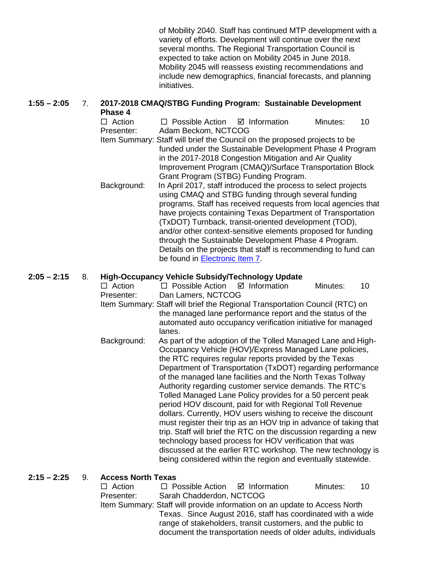of Mobility 2040. Staff has continued MTP development with a variety of efforts. Development will continue over the next several months. The Regional Transportation Council is expected to take action on Mobility 2045 in June 2018. Mobility 2045 will reassess existing recommendations and include new demographics, financial forecasts, and planning initiatives.

#### **1:55 – 2:05** 7. **2017-2018 CMAQ/STBG Funding Program: Sustainable Development Phase 4**

 $\Box$  Action  $\Box$  Possible Action  $\Box$  Information Minutes: 10 Presenter: Adam Beckom, NCTCOG Item Summary: Staff will brief the Council on the proposed projects to be funded under the Sustainable Development Phase 4 Program in the 2017-2018 Congestion Mitigation and Air Quality Improvement Program (CMAQ)/Surface Transportation Block Grant Program (STBG) Funding Program. Background: In April 2017, staff introduced the process to select projects using CMAQ and STBG funding through several funding programs. Staff has received requests from local agencies that have projects containing Texas Department of Transportation (TxDOT) Turnback, transit-oriented development (TOD), and/or other context-sensitive elements proposed for funding through the Sustainable Development Phase 4 Program. Details on the projects that staff is recommending to fund can be found in [Electronic Item 7.](http://www.nctcog.org/trans/committees/rtc/2018/02Feb/Ref.Itm_7.rtc020818.pdf)

## **2:05 – 2:15** 8. **High-Occupancy Vehicle Subsidy/Technology Update**

 $\Box$  Action  $\Box$  Possible Action  $\Box$  Information Minutes: 10 Presenter: Dan Lamers, NCTCOG

- Item Summary: Staff will brief the Regional Transportation Council (RTC) on the managed lane performance report and the status of the automated auto occupancy verification initiative for managed lanes.
- Background: As part of the adoption of the Tolled Managed Lane and High-Occupancy Vehicle (HOV)/Express Managed Lane policies, the RTC requires regular reports provided by the Texas Department of Transportation (TxDOT) regarding performance of the managed lane facilities and the North Texas Tollway Authority regarding customer service demands. The RTC's Tolled Managed Lane Policy provides for a 50 percent peak period HOV discount, paid for with Regional Toll Revenue dollars. Currently, HOV users wishing to receive the discount must register their trip as an HOV trip in advance of taking that trip. Staff will brief the RTC on the discussion regarding a new technology based process for HOV verification that was discussed at the earlier RTC workshop. The new technology is being considered within the region and eventually statewide.

## **2:15 – 2:25** 9. **Access North Texas**

| $\Box$ Action                                                             | $\Box$ Possible Action $\Box$ Information                      |  | Minutes: | $-10$ |  |  |
|---------------------------------------------------------------------------|----------------------------------------------------------------|--|----------|-------|--|--|
| Presenter:                                                                | Sarah Chadderdon, NCTCOG                                       |  |          |       |  |  |
| Item Summary: Staff will provide information on an update to Access North |                                                                |  |          |       |  |  |
| Texas. Since August 2016, staff has coordinated with a wide               |                                                                |  |          |       |  |  |
| range of stakeholders, transit customers, and the public to               |                                                                |  |          |       |  |  |
|                                                                           | document the transportation needs of older adults, individuals |  |          |       |  |  |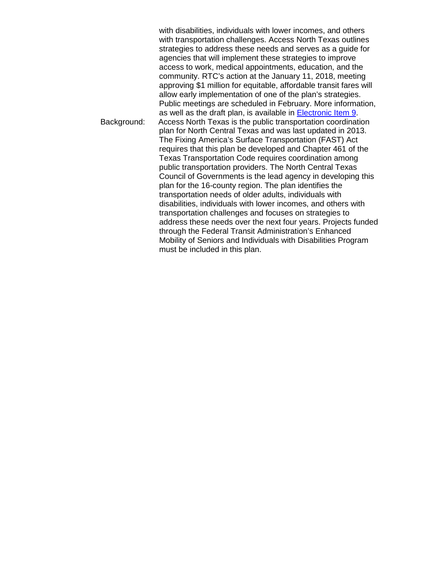with disabilities, individuals with lower incomes, and others with transportation challenges. Access North Texas outlines strategies to address these needs and serves as a guide for agencies that will implement these strategies to improve access to work, medical appointments, education, and the community. RTC's action at the January 11, 2018, meeting approving \$1 million for equitable, affordable transit fares will allow early implementation of one of the plan's strategies. Public meetings are scheduled in February. More information, as well as the draft plan, is available in [Electronic Item 9.](http://www.nctcog.org/trans/transit/ops/jarc/TransitCoordination.asp) Background: Access North Texas is the public transportation coordination plan for North Central Texas and was last updated in 2013. The Fixing America's Surface Transportation (FAST) Act requires that this plan be developed and Chapter 461 of the Texas Transportation Code requires coordination among public transportation providers. The North Central Texas Council of Governments is the lead agency in developing this plan for the 16-county region. The plan identifies the transportation needs of older adults, individuals with disabilities, individuals with lower incomes, and others with transportation challenges and focuses on strategies to address these needs over the next four years. Projects funded through the Federal Transit Administration's Enhanced Mobility of Seniors and Individuals with Disabilities Program must be included in this plan.